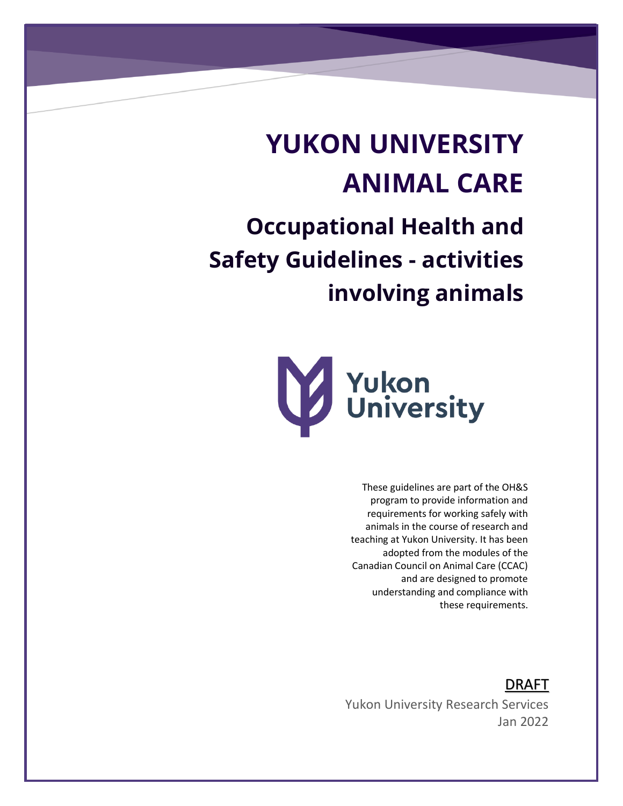# **YUKON UNIVERSITY ANIMAL CARE**

**Occupational Health and Safety Guidelines - activities involving animals**



These guidelines are part of the OH&S program to provide information and requirements for working safely with animals in the course of research and teaching at Yukon University. It has been adopted from the modules of the Canadian Council on Animal Care (CCAC) and are designed to promote understanding and compliance with these requirements.

DRAFT

Yukon University Research Services Jan 2022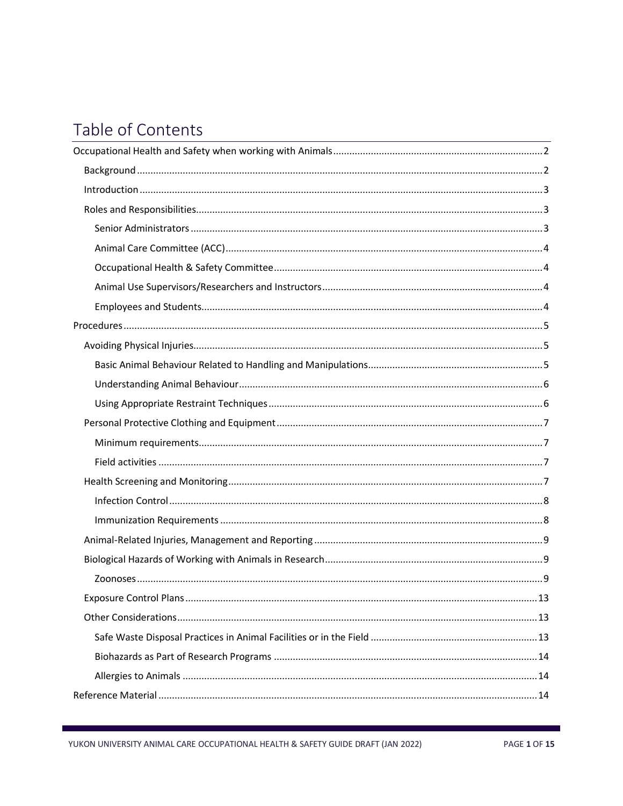# Table of Contents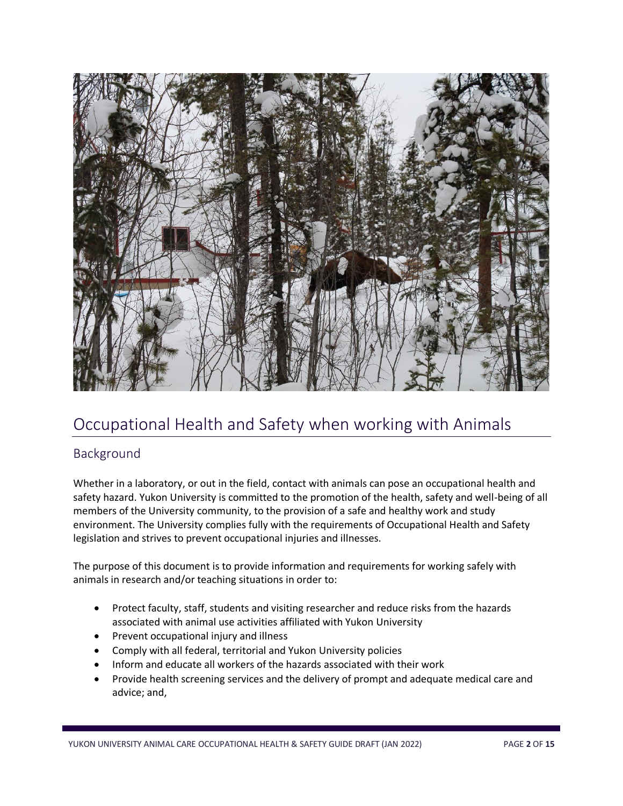

# <span id="page-2-0"></span>Occupational Health and Safety when working with Animals

# <span id="page-2-1"></span>Background

Whether in a laboratory, or out in the field, contact with animals can pose an occupational health and safety hazard. Yukon University is committed to the promotion of the health, safety and well-being of all members of the University community, to the provision of a safe and healthy work and study environment. The University complies fully with the requirements of Occupational Health and Safety legislation and strives to prevent occupational injuries and illnesses.

The purpose of this document is to provide information and requirements for working safely with animals in research and/or teaching situations in order to:

- Protect faculty, staff, students and visiting researcher and reduce risks from the hazards associated with animal use activities affiliated with Yukon University
- Prevent occupational injury and illness
- Comply with all federal, territorial and Yukon University policies
- Inform and educate all workers of the hazards associated with their work
- Provide health screening services and the delivery of prompt and adequate medical care and advice; and,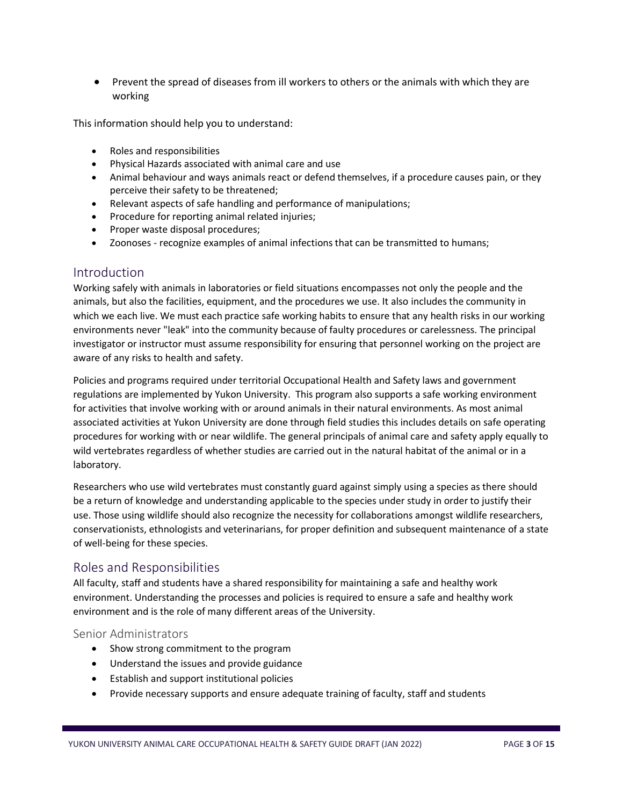• Prevent the spread of diseases from ill workers to others or the animals with which they are working

This information should help you to understand:

- Roles and responsibilities
- Physical Hazards associated with animal care and use
- Animal behaviour and ways animals react or defend themselves, if a procedure causes pain, or they perceive their safety to be threatened;
- Relevant aspects of safe handling and performance of manipulations;
- Procedure for reporting animal related injuries;
- Proper waste disposal procedures;
- Zoonoses recognize examples of animal infections that can be transmitted to humans;

#### <span id="page-3-0"></span>Introduction

Working safely with animals in laboratories or field situations encompasses not only the people and the animals, but also the facilities, equipment, and the procedures we use. It also includes the community in which we each live. We must each practice safe working habits to ensure that any health risks in our working environments never "leak" into the community because of faulty procedures or carelessness. The principal investigator or instructor must assume responsibility for ensuring that personnel working on the project are aware of any risks to health and safety.

Policies and programs required under territorial Occupational Health and Safety laws and government regulations are implemented by Yukon University. This program also supports a safe working environment for activities that involve working with or around animals in their natural environments. As most animal associated activities at Yukon University are done through field studies this includes details on safe operating procedures for working with or near wildlife. The general principals of animal care and safety apply equally to wild vertebrates regardless of whether studies are carried out in the natural habitat of the animal or in a laboratory.

Researchers who use wild vertebrates must constantly guard against simply using a species as there should be a return of knowledge and understanding applicable to the species under study in order to justify their use. Those using wildlife should also recognize the necessity for collaborations amongst wildlife researchers, conservationists, ethnologists and veterinarians, for proper definition and subsequent maintenance of a state of well-being for these species.

#### <span id="page-3-1"></span>Roles and Responsibilities

All faculty, staff and students have a shared responsibility for maintaining a safe and healthy work environment. Understanding the processes and policies is required to ensure a safe and healthy work environment and is the role of many different areas of the University.

#### <span id="page-3-2"></span>Senior Administrators

- Show strong commitment to the program
- Understand the issues and provide guidance
- Establish and support institutional policies
- Provide necessary supports and ensure adequate training of faculty, staff and students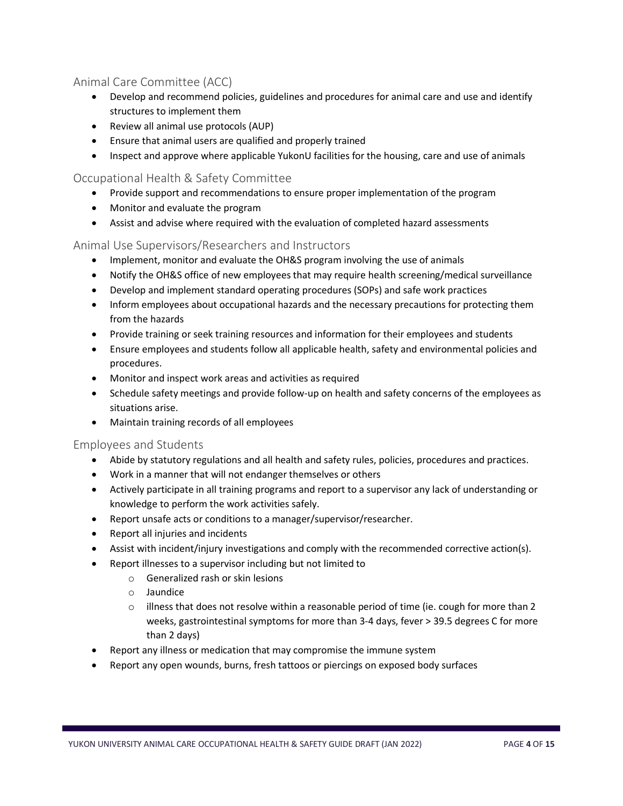### <span id="page-4-0"></span>Animal Care Committee (ACC)

- Develop and recommend policies, guidelines and procedures for animal care and use and identify structures to implement them
- Review all animal use protocols (AUP)
- Ensure that animal users are qualified and properly trained
- Inspect and approve where applicable YukonU facilities for the housing, care and use of animals

#### <span id="page-4-1"></span>Occupational Health & Safety Committee

- Provide support and recommendations to ensure proper implementation of the program
- Monitor and evaluate the program
- Assist and advise where required with the evaluation of completed hazard assessments

#### <span id="page-4-2"></span>Animal Use Supervisors/Researchers and Instructors

- Implement, monitor and evaluate the OH&S program involving the use of animals
- Notify the OH&S office of new employees that may require health screening/medical surveillance
- Develop and implement standard operating procedures (SOPs) and safe work practices
- Inform employees about occupational hazards and the necessary precautions for protecting them from the hazards
- Provide training or seek training resources and information for their employees and students
- Ensure employees and students follow all applicable health, safety and environmental policies and procedures.
- Monitor and inspect work areas and activities as required
- Schedule safety meetings and provide follow-up on health and safety concerns of the employees as situations arise.
- Maintain training records of all employees

#### <span id="page-4-3"></span>Employees and Students

- Abide by statutory regulations and all health and safety rules, policies, procedures and practices.
- Work in a manner that will not endanger themselves or others
- Actively participate in all training programs and report to a supervisor any lack of understanding or knowledge to perform the work activities safely.
- Report unsafe acts or conditions to a manager/supervisor/researcher.
- Report all injuries and incidents
- Assist with incident/injury investigations and comply with the recommended corrective action(s).
- Report illnesses to a supervisor including but not limited to
	- o Generalized rash or skin lesions
	- o Jaundice
	- $\circ$  illness that does not resolve within a reasonable period of time (ie. cough for more than 2 weeks, gastrointestinal symptoms for more than 3-4 days, fever > 39.5 degrees C for more than 2 days)
- Report any illness or medication that may compromise the immune system
- Report any open wounds, burns, fresh tattoos or piercings on exposed body surfaces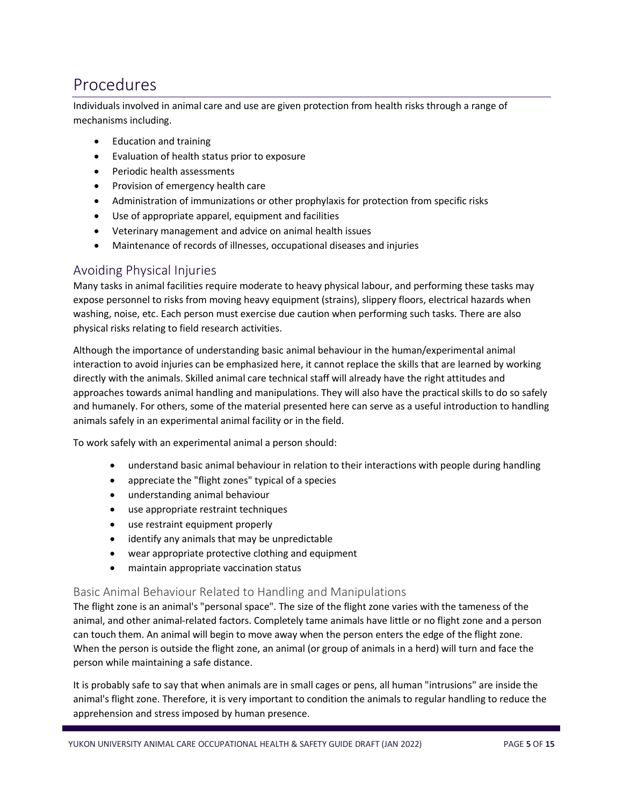# <span id="page-5-0"></span>Procedures

Individuals involved in animal care and use are given protection from health risks through a range of mechanisms including.

- Education and training
- Evaluation of health status prior to exposure
- Periodic health assessments
- Provision of emergency health care
- Administration of immunizations or other prophylaxis for protection from specific risks
- Use of appropriate apparel, equipment and facilities
- Veterinary management and advice on animal health issues
- Maintenance of records of illnesses, occupational diseases and injuries

### <span id="page-5-1"></span>Avoiding Physical Injuries

Many tasks in animal facilities require moderate to heavy physical labour, and performing these tasks may expose personnel to risks from moving heavy equipment (strains), slippery floors, electrical hazards when washing, noise, etc. Each person must exercise due caution when performing such tasks. There are also physical risks relating to field research activities.

Although the importance of understanding basic animal behaviour in the human/experimental animal interaction to avoid injuries can be emphasized here, it cannot replace the skills that are learned by working directly with the animals. Skilled animal care technical staff will already have the right attitudes and approaches towards animal handling and manipulations. They will also have the practical skills to do so safely and humanely. For others, some of the material presented here can serve as a useful introduction to handling animals safely in an experimental animal facility or in the field.

To work safely with an experimental animal a person should:

- understand basic animal behaviour in relation to their interactions with people during handling
- appreciate the "flight zones" typical of a species
- understanding animal behaviour
- use appropriate restraint techniques
- use restraint equipment properly
- identify any animals that may be unpredictable
- wear appropriate protective clothing and equipment
- maintain appropriate vaccination status

#### <span id="page-5-2"></span>Basic Animal Behaviour Related to Handling and Manipulations

The flight zone is an animal's "personal space". The size of the flight zone varies with the tameness of the animal, and other animal-related factors. Completely tame animals have little or no flight zone and a person can touch them. An animal will begin to move away when the person enters the edge of the flight zone. When the person is outside the flight zone, an animal (or group of animals in a herd) will turn and face the person while maintaining a safe distance.

It is probably safe to say that when animals are in small cages or pens, all human "intrusions" are inside the animal's flight zone. Therefore, it is very important to condition the animals to regular handling to reduce the apprehension and stress imposed by human presence.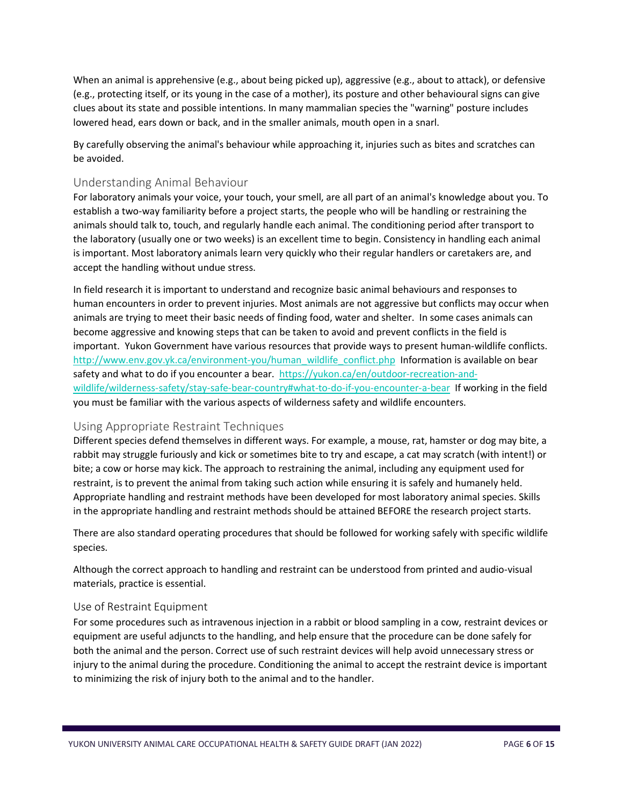When an animal is apprehensive (e.g., about being picked up), aggressive (e.g., about to attack), or defensive (e.g., protecting itself, or its young in the case of a mother), its posture and other behavioural signs can give clues about its state and possible intentions. In many mammalian species the "warning" posture includes lowered head, ears down or back, and in the smaller animals, mouth open in a snarl.

By carefully observing the animal's behaviour while approaching it, injuries such as bites and scratches can be avoided.

#### <span id="page-6-0"></span>Understanding Animal Behaviour

For laboratory animals your voice, your touch, your smell, are all part of an animal's knowledge about you. To establish a two-way familiarity before a project starts, the people who will be handling or restraining the animals should talk to, touch, and regularly handle each animal. The conditioning period after transport to the laboratory (usually one or two weeks) is an excellent time to begin. Consistency in handling each animal is important. Most laboratory animals learn very quickly who their regular handlers or caretakers are, and accept the handling without undue stress.

In field research it is important to understand and recognize basic animal behaviours and responses to human encounters in order to prevent injuries. Most animals are not aggressive but conflicts may occur when animals are trying to meet their basic needs of finding food, water and shelter. In some cases animals can become aggressive and knowing steps that can be taken to avoid and prevent conflicts in the field is important. Yukon Government have various resources that provide ways to present human-wildlife conflicts. [http://www.env.gov.yk.ca/environment-you/human\\_wildlife\\_conflict.php](http://www.env.gov.yk.ca/environment-you/human_wildlife_conflict.php) Information is available on bear safety and what to do if you encounter a bear. [https://yukon.ca/en/outdoor-recreation-and](https://yukon.ca/en/outdoor-recreation-and-wildlife/wilderness-safety/stay-safe-bear-country#what-to-do-if-you-encounter-a-bear)[wildlife/wilderness-safety/stay-safe-bear-country#what-to-do-if-you-encounter-a-bear](https://yukon.ca/en/outdoor-recreation-and-wildlife/wilderness-safety/stay-safe-bear-country#what-to-do-if-you-encounter-a-bear) If working in the field you must be familiar with the various aspects of wilderness safety and wildlife encounters.

#### <span id="page-6-1"></span>Using Appropriate Restraint Techniques

Different species defend themselves in different ways. For example, a mouse, rat, hamster or dog may bite, a rabbit may struggle furiously and kick or sometimes bite to try and escape, a cat may scratch (with intent!) or bite; a cow or horse may kick. The approach to restraining the animal, including any equipment used for restraint, is to prevent the animal from taking such action while ensuring it is safely and humanely held. Appropriate handling and restraint methods have been developed for most laboratory animal species. Skills in the appropriate handling and restraint methods should be attained BEFORE the research project starts.

There are also standard operating procedures that should be followed for working safely with specific wildlife species.

Although the correct approach to handling and restraint can be understood from printed and audio-visual materials, practice is essential.

#### Use of Restraint Equipment

For some procedures such as intravenous injection in a rabbit or blood sampling in a cow, restraint devices or equipment are useful adjuncts to the handling, and help ensure that the procedure can be done safely for both the animal and the person. Correct use of such restraint devices will help avoid unnecessary stress or injury to the animal during the procedure. Conditioning the animal to accept the restraint device is important to minimizing the risk of injury both to the animal and to the handler.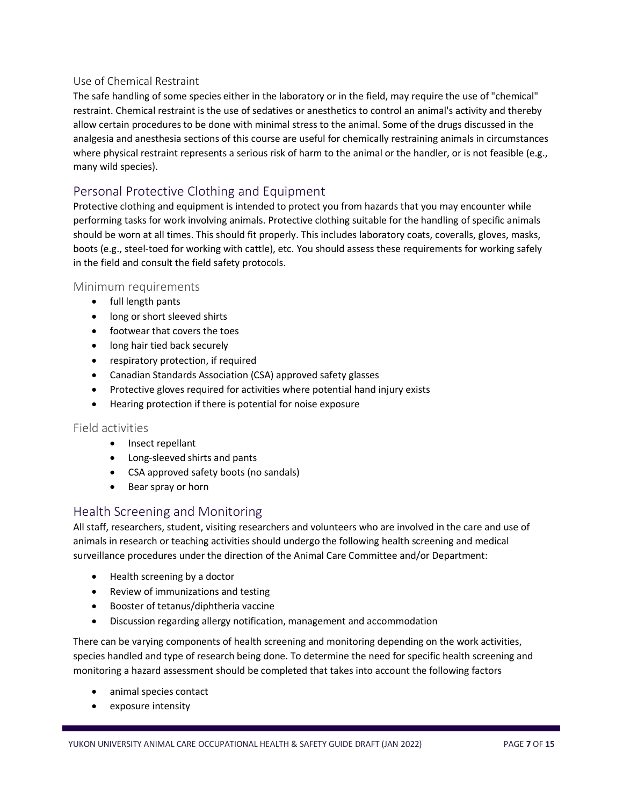#### Use of Chemical Restraint

The safe handling of some species either in the laboratory or in the field, may require the use of "chemical" restraint. Chemical restraint is the use of sedatives or anesthetics to control an animal's activity and thereby allow certain procedures to be done with minimal stress to the animal. Some of the drugs discussed in the analgesia and anesthesia sections of this course are useful for chemically restraining animals in circumstances where physical restraint represents a serious risk of harm to the animal or the handler, or is not feasible (e.g., many wild species).

# <span id="page-7-0"></span>Personal Protective Clothing and Equipment

Protective clothing and equipment is intended to protect you from hazards that you may encounter while performing tasks for work involving animals. Protective clothing suitable for the handling of specific animals should be worn at all times. This should fit properly. This includes laboratory coats, coveralls, gloves, masks, boots (e.g., steel-toed for working with cattle), etc. You should assess these requirements for working safely in the field and consult the field safety protocols.

#### <span id="page-7-1"></span>Minimum requirements

- full length pants
- long or short sleeved shirts
- footwear that covers the toes
- long hair tied back securely
- respiratory protection, if required
- Canadian Standards Association (CSA) approved safety glasses
- Protective gloves required for activities where potential hand injury exists
- Hearing protection if there is potential for noise exposure

#### <span id="page-7-2"></span>Field activities

- Insect repellant
- Long-sleeved shirts and pants
- CSA approved safety boots (no sandals)
- Bear spray or horn

## <span id="page-7-3"></span>Health Screening and Monitoring

All staff, researchers, student, visiting researchers and volunteers who are involved in the care and use of animals in research or teaching activities should undergo the following health screening and medical surveillance procedures under the direction of the Animal Care Committee and/or Department:

- Health screening by a doctor
- Review of immunizations and testing
- Booster of tetanus/diphtheria vaccine
- Discussion regarding allergy notification, management and accommodation

There can be varying components of health screening and monitoring depending on the work activities, species handled and type of research being done. To determine the need for specific health screening and monitoring a hazard assessment should be completed that takes into account the following factors

- animal species contact
- exposure intensity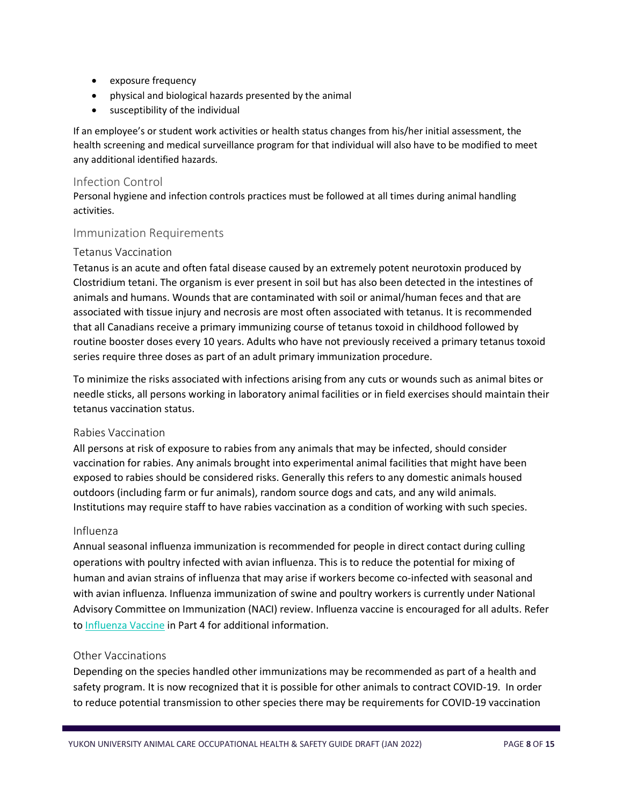- exposure frequency
- physical and biological hazards presented by the animal
- susceptibility of the individual

If an employee's or student work activities or health status changes from his/her initial assessment, the health screening and medical surveillance program for that individual will also have to be modified to meet any additional identified hazards.

#### <span id="page-8-0"></span>Infection Control

Personal hygiene and infection controls practices must be followed at all times during animal handling activities.

#### <span id="page-8-1"></span>Immunization Requirements

#### Tetanus Vaccination

Tetanus is an acute and often fatal disease caused by an extremely potent neurotoxin produced by Clostridium tetani. The organism is ever present in soil but has also been detected in the intestines of animals and humans. Wounds that are contaminated with soil or animal/human feces and that are associated with tissue injury and necrosis are most often associated with tetanus. It is recommended that all Canadians receive a primary immunizing course of tetanus toxoid in childhood followed by routine booster doses every 10 years. Adults who have not previously received a primary tetanus toxoid series require three doses as part of an adult primary immunization procedure.

To minimize the risks associated with infections arising from any cuts or wounds such as animal bites or needle sticks, all persons working in laboratory animal facilities or in field exercises should maintain their tetanus vaccination status.

#### Rabies Vaccination

All persons at risk of exposure to rabies from any animals that may be infected, should consider vaccination for rabies. Any animals brought into experimental animal facilities that might have been exposed to rabies should be considered risks. Generally this refers to any domestic animals housed outdoors (including farm or fur animals), random source dogs and cats, and any wild animals. Institutions may require staff to have rabies vaccination as a condition of working with such species.

#### Influenza

Annual seasonal influenza immunization is recommended for people in direct contact during culling operations with poultry infected with avian influenza. This is to reduce the potential for mixing of human and avian strains of influenza that may arise if workers become co-infected with seasonal and with avian influenza. Influenza immunization of swine and poultry workers is currently under National Advisory Committee on Immunization (NACI) review. Influenza vaccine is encouraged for all adults. Refer to [Influenza Vaccine](https://www.canada.ca/en/public-health/services/publications/healthy-living/canadian-immunization-guide-part-4-active-vaccines/page-10-influenza-vaccine.html) in Part 4 for additional information.

#### Other Vaccinations

Depending on the species handled other immunizations may be recommended as part of a health and safety program. It is now recognized that it is possible for other animals to contract COVID-19. In order to reduce potential transmission to other species there may be requirements for COVID-19 vaccination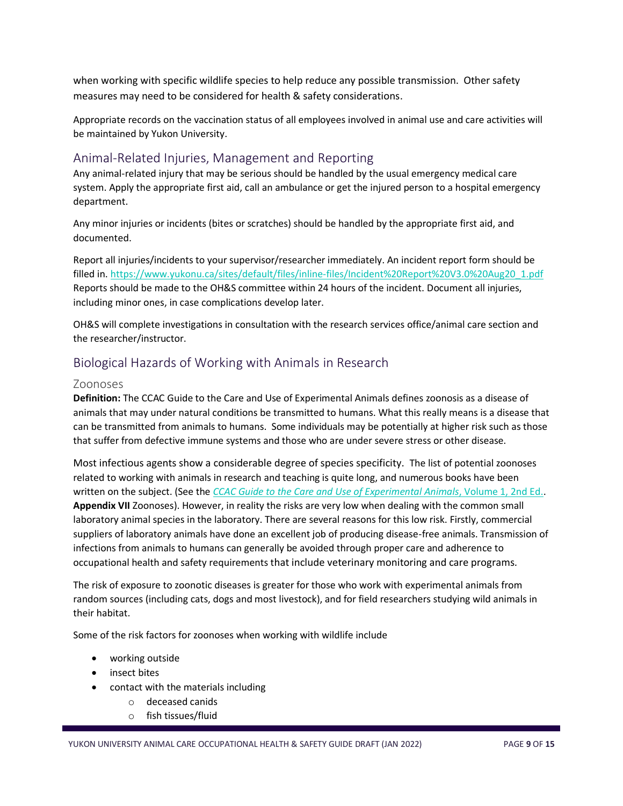when working with specific wildlife species to help reduce any possible transmission. Other safety measures may need to be considered for health & safety considerations.

Appropriate records on the vaccination status of all employees involved in animal use and care activities will be maintained by Yukon University.

# <span id="page-9-0"></span>Animal-Related Injuries, Management and Reporting

Any animal-related injury that may be serious should be handled by the usual emergency medical care system. Apply the appropriate first aid, call an ambulance or get the injured person to a hospital emergency department.

Any minor injuries or incidents (bites or scratches) should be handled by the appropriate first aid, and documented.

Report all injuries/incidents to your supervisor/researcher immediately. An incident report form should be filled in. [https://www.yukonu.ca/sites/default/files/inline-files/Incident%20Report%20V3.0%20Aug20\\_1.pdf](https://www.yukonu.ca/sites/default/files/inline-files/Incident%20Report%20V3.0%20Aug20_1.pdf) Reports should be made to the OH&S committee within 24 hours of the incident. Document all injuries, including minor ones, in case complications develop later.

OH&S will complete investigations in consultation with the research services office/animal care section and the researcher/instructor.

# <span id="page-9-1"></span>Biological Hazards of Working with Animals in Research

#### <span id="page-9-2"></span>Zoonoses

**Definition:** The CCAC Guide to the Care and Use of Experimental Animals defines zoonosis as a disease of animals that may under natural conditions be transmitted to humans. What this really means is a disease that can be transmitted from animals to humans. Some individuals may be potentially at higher risk such as those that suffer from defective immune systems and those who are under severe stress or other disease.

Most infectious agents show a considerable degree of species specificity. The list of potential zoonoses related to working with animals in research and teaching is quite long, and numerous books have been written on the subject. (See the *[CCAC Guide to the Care and Use of Experimental Animals](https://www.ccac.ca/Documents/Standards/Guidelines/Experimental_Animals_Vol1.pdf)*, Volume 1, 2nd Ed.. **Appendix VII** Zoonoses). However, in reality the risks are very low when dealing with the common small laboratory animal species in the laboratory. There are several reasons for this low risk. Firstly, commercial suppliers of laboratory animals have done an excellent job of producing disease-free animals. Transmission of infections from animals to humans can generally be avoided through proper care and adherence to occupational health and safety requirements that include veterinary monitoring and care programs*.*

The risk of exposure to zoonotic diseases is greater for those who work with experimental animals from random sources (including cats, dogs and most livestock), and for field researchers studying wild animals in their habitat.

Some of the risk factors for zoonoses when working with wildlife include

- working outside
- insect bites
- contact with the materials including
	- o deceased canids
	- o fish tissues/fluid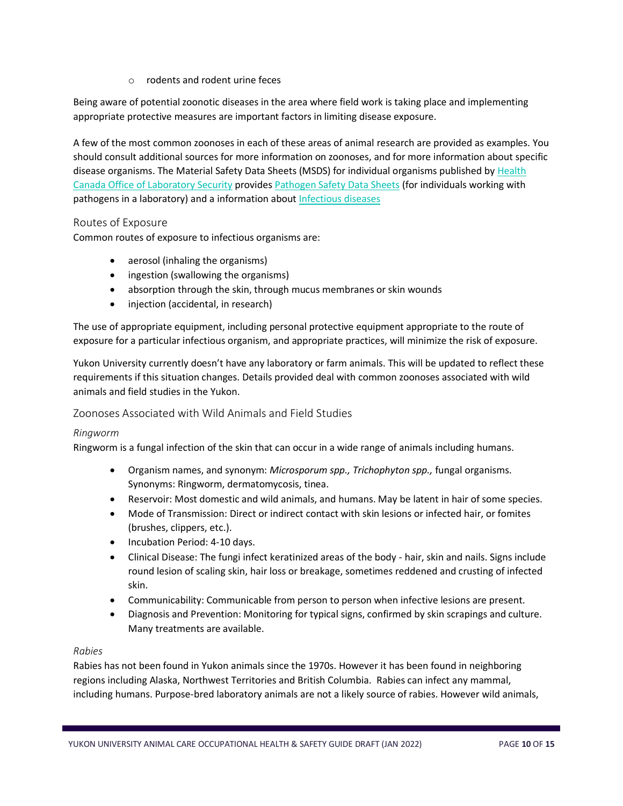o rodents and rodent urine feces

Being aware of potential zoonotic diseases in the area where field work is taking place and implementing appropriate protective measures are important factors in limiting disease exposure.

A few of the most common zoonoses in each of these areas of animal research are provided as examples. You should consult additional sources for more information on zoonoses, and for more information about specific disease organisms. The Material Safety Data Sheets (MSDS) for individual organisms published by [Health](http://www.phac-aspc.gc.ca/ols-bsl/who-oms/index-eng.php)  [Canada Office of Laboratory Security](http://www.phac-aspc.gc.ca/ols-bsl/who-oms/index-eng.php) provides [Pathogen Safety Data Sheets](https://www.canada.ca/en/public-health/services/laboratory-biosafety-biosecurity/pathogen-safety-data-sheets-risk-assessment.html) (for individuals working with pathogens in a laboratory) and a information abou[t Infectious diseases](https://www.canada.ca/en/public-health/services/infectious-diseases.html)

#### Routes of Exposure

Common routes of exposure to infectious organisms are:

- aerosol (inhaling the organisms)
- ingestion (swallowing the organisms)
- absorption through the skin, through mucus membranes or skin wounds
- injection (accidental, in research)

The use of appropriate equipment, including personal protective equipment appropriate to the route of exposure for a particular infectious organism, and appropriate practices, will minimize the risk of exposure.

Yukon University currently doesn't have any laboratory or farm animals. This will be updated to reflect these requirements if this situation changes. Details provided deal with common zoonoses associated with wild animals and field studies in the Yukon.

#### Zoonoses Associated with Wild Animals and Field Studies

#### *Ringworm*

Ringworm is a fungal infection of the skin that can occur in a wide range of animals including humans.

- Organism names, and synonym: *Microsporum spp., Trichophyton spp.,* fungal organisms. Synonyms: Ringworm, dermatomycosis, tinea.
- Reservoir: Most domestic and wild animals, and humans. May be latent in hair of some species.
- Mode of Transmission: Direct or indirect contact with skin lesions or infected hair, or fomites (brushes, clippers, etc.).
- Incubation Period: 4-10 days.
- Clinical Disease: The fungi infect keratinized areas of the body hair, skin and nails. Signs include round lesion of scaling skin, hair loss or breakage, sometimes reddened and crusting of infected skin.
- Communicability: Communicable from person to person when infective lesions are present.
- Diagnosis and Prevention: Monitoring for typical signs, confirmed by skin scrapings and culture. Many treatments are available.

#### *Rabies*

Rabies has not been found in Yukon animals since the 1970s. However it has been found in neighboring regions including Alaska, Northwest Territories and British Columbia. Rabies can infect any mammal, including humans. Purpose-bred laboratory animals are not a likely source of rabies. However wild animals,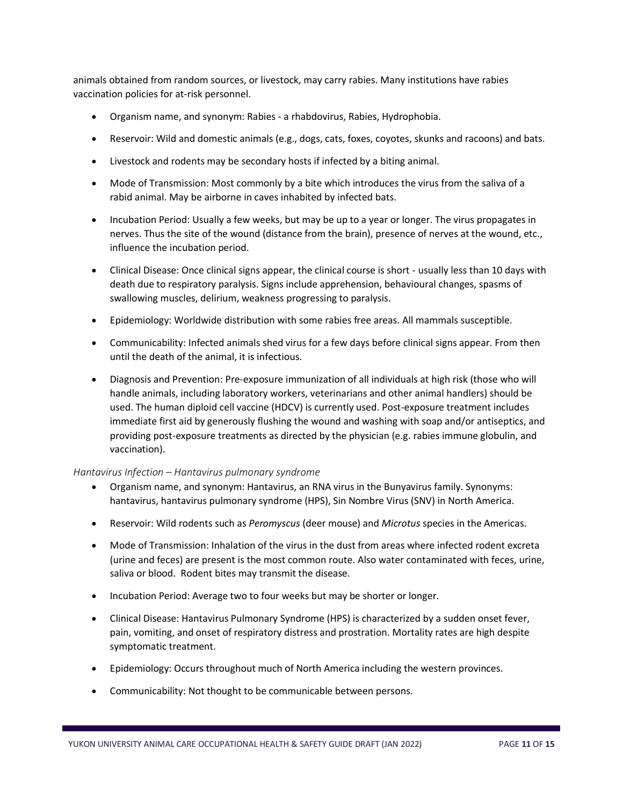animals obtained from random sources, or livestock, may carry rabies. Many institutions have rabies vaccination policies for at-risk personnel.

- Organism name, and synonym: Rabies a rhabdovirus, Rabies, Hydrophobia.
- Reservoir: Wild and domestic animals (e.g., dogs, cats, foxes, coyotes, skunks and racoons) and bats.
- Livestock and rodents may be secondary hosts if infected by a biting animal.
- Mode of Transmission: Most commonly by a bite which introduces the virus from the saliva of a rabid animal. May be airborne in caves inhabited by infected bats.
- Incubation Period: Usually a few weeks, but may be up to a year or longer. The virus propagates in nerves. Thus the site of the wound (distance from the brain), presence of nerves at the wound, etc., influence the incubation period.
- Clinical Disease: Once clinical signs appear, the clinical course is short usually less than 10 days with death due to respiratory paralysis. Signs include apprehension, behavioural changes, spasms of swallowing muscles, delirium, weakness progressing to paralysis.
- Epidemiology: Worldwide distribution with some rabies free areas. All mammals susceptible.
- Communicability: Infected animals shed virus for a few days before clinical signs appear. From then until the death of the animal, it is infectious.
- Diagnosis and Prevention: Pre-exposure immunization of all individuals at high risk (those who will handle animals, including laboratory workers, veterinarians and other animal handlers) should be used. The human diploid cell vaccine (HDCV) is currently used. Post-exposure treatment includes immediate first aid by generously flushing the wound and washing with soap and/or antiseptics, and providing post-exposure treatments as directed by the physician (e.g. rabies immune globulin, and vaccination).

#### *Hantavirus Infection – Hantavirus pulmonary syndrome*

- Organism name, and synonym: Hantavirus, an RNA virus in the Bunyavirus family. Synonyms: hantavirus, hantavirus pulmonary syndrome (HPS), Sin Nombre Virus (SNV) in North America.
- Reservoir: Wild rodents such as *Peromyscus* (deer mouse) and *Microtus* species in the Americas.
- Mode of Transmission: Inhalation of the virus in the dust from areas where infected rodent excreta (urine and feces) are present is the most common route. Also water contaminated with feces, urine, saliva or blood. Rodent bites may transmit the disease.
- Incubation Period: Average two to four weeks but may be shorter or longer.
- Clinical Disease: Hantavirus Pulmonary Syndrome (HPS) is characterized by a sudden onset fever, pain, vomiting, and onset of respiratory distress and prostration. Mortality rates are high despite symptomatic treatment.
- Epidemiology: Occurs throughout much of North America including the western provinces.
- Communicability: Not thought to be communicable between persons.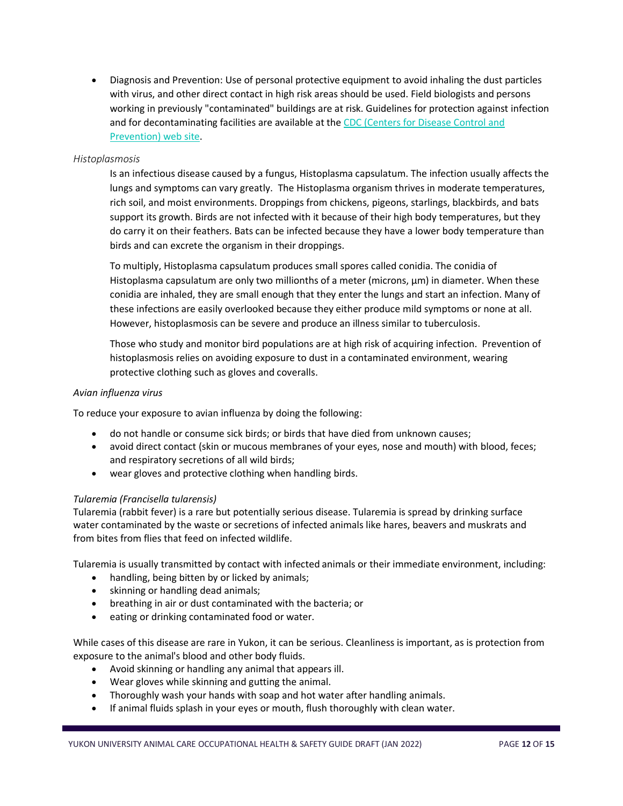• Diagnosis and Prevention: Use of personal protective equipment to avoid inhaling the dust particles with virus, and other direct contact in high risk areas should be used. Field biologists and persons working in previously "contaminated" buildings are at risk. Guidelines for protection against infection and for decontaminating facilities are available at the CDC (Centers for Disease Control and [Prevention\) web site.](http://www.cdc.gov/ncidod/diseases/hanta/hps/index.htm)

#### *Histoplasmosis*

Is an infectious disease caused by a fungus, Histoplasma capsulatum. The infection usually affects the lungs and symptoms can vary greatly. The Histoplasma organism thrives in moderate temperatures, rich soil, and moist environments. Droppings from chickens, pigeons, starlings, blackbirds, and bats support its growth. Birds are not infected with it because of their high body temperatures, but they do carry it on their feathers. Bats can be infected because they have a lower body temperature than birds and can excrete the organism in their droppings.

To multiply, Histoplasma capsulatum produces small spores called conidia. The conidia of Histoplasma capsulatum are only two millionths of a meter (microns, μm) in diameter. When these conidia are inhaled, they are small enough that they enter the lungs and start an infection. Many of these infections are easily overlooked because they either produce mild symptoms or none at all. However, histoplasmosis can be severe and produce an illness similar to tuberculosis.

Those who study and monitor bird populations are at high risk of acquiring infection. Prevention of histoplasmosis relies on avoiding exposure to dust in a contaminated environment, wearing protective clothing such as gloves and coveralls.

#### *Avian influenza virus*

To reduce your exposure to avian influenza by doing the following:

- do not handle or consume sick birds; or birds that have died from unknown causes;
- avoid direct contact (skin or mucous membranes of your eyes, nose and mouth) with blood, feces; and respiratory secretions of all wild birds;
- wear gloves and protective clothing when handling birds.

#### *Tularemia (Francisella tularensis)*

Tularemia (rabbit fever) is a rare but potentially serious disease. Tularemia is spread by drinking surface water contaminated by the waste or secretions of infected animals like hares, beavers and muskrats and from bites from flies that feed on infected wildlife.

Tularemia is usually transmitted by contact with infected animals or their immediate environment, including:

- handling, being bitten by or licked by animals;
- skinning or handling dead animals;
- breathing in air or dust contaminated with the bacteria; or
- eating or drinking contaminated food or water.

While cases of this disease are rare in Yukon, it can be serious. Cleanliness is important, as is protection from exposure to the animal's blood and other body fluids.

- Avoid skinning or handling any animal that appears ill.
- Wear gloves while skinning and gutting the animal.
- Thoroughly wash your hands with soap and hot water after handling animals.
- If animal fluids splash in your eyes or mouth, flush thoroughly with clean water.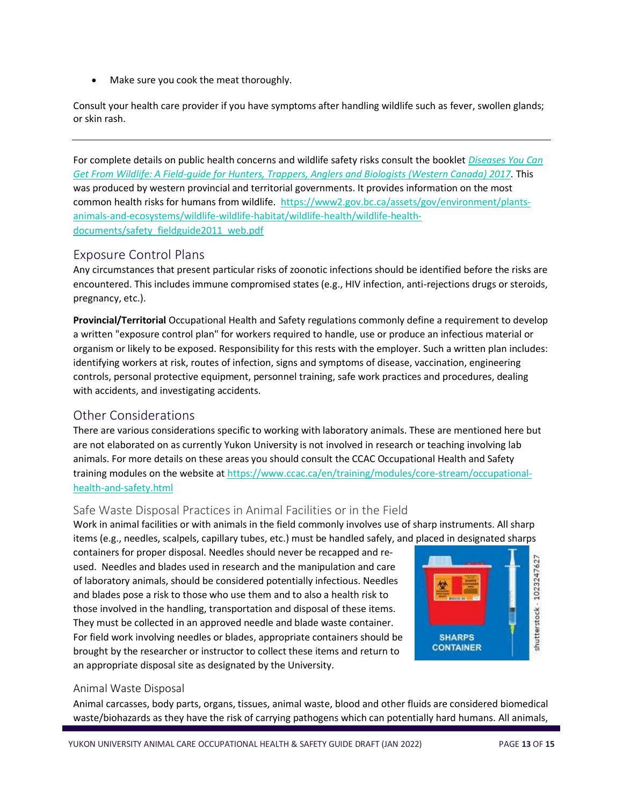Make sure you cook the meat thoroughly.

Consult your health care provider if you have symptoms after handling wildlife such as fever, swollen glands; or skin rash.

For complete details on public health concerns and wildlife safety risks consult the booklet *[Diseases You Can](https://www2.gov.bc.ca/assets/gov/environment/plants-animals-and-ecosystems/wildlife-wildlife-habitat/wildlife-health/wildlife-health-documents/diseases_you_can_get_from_wildlife_field_guide_2017.pdf)  [Get From Wildlife: A Field-guide for Hunters, Trappers, Anglers and Biologists \(Western Canada\) 2017.](https://www2.gov.bc.ca/assets/gov/environment/plants-animals-and-ecosystems/wildlife-wildlife-habitat/wildlife-health/wildlife-health-documents/diseases_you_can_get_from_wildlife_field_guide_2017.pdf)* This was produced by western provincial and territorial governments. It provides information on the most common health risks for humans from wildlife. [https://www2.gov.bc.ca/assets/gov/environment/plants](https://www2.gov.bc.ca/assets/gov/environment/plants-animals-and-ecosystems/wildlife-wildlife-habitat/wildlife-health/wildlife-health-documents/safety_fieldguide2011_web.pdf)[animals-and-ecosystems/wildlife-wildlife-habitat/wildlife-health/wildlife-health](https://www2.gov.bc.ca/assets/gov/environment/plants-animals-and-ecosystems/wildlife-wildlife-habitat/wildlife-health/wildlife-health-documents/safety_fieldguide2011_web.pdf)[documents/safety\\_fieldguide2011\\_web.pdf](https://www2.gov.bc.ca/assets/gov/environment/plants-animals-and-ecosystems/wildlife-wildlife-habitat/wildlife-health/wildlife-health-documents/safety_fieldguide2011_web.pdf)

## <span id="page-13-0"></span>Exposure Control Plans

Any circumstances that present particular risks of zoonotic infections should be identified before the risks are encountered. This includes immune compromised states (e.g., HIV infection, anti-rejections drugs or steroids, pregnancy, etc.).

**Provincial/Territorial** Occupational Health and Safety regulations commonly define a requirement to develop a written "exposure control plan" for workers required to handle, use or produce an infectious material or organism or likely to be exposed. Responsibility for this rests with the employer. Such a written plan includes: identifying workers at risk, routes of infection, signs and symptoms of disease, vaccination, engineering controls, personal protective equipment, personnel training, safe work practices and procedures, dealing with accidents, and investigating accidents.

## <span id="page-13-1"></span>Other Considerations

There are various considerations specific to working with laboratory animals. These are mentioned here but are not elaborated on as currently Yukon University is not involved in research or teaching involving lab animals. For more details on these areas you should consult the CCAC Occupational Health and Safety training modules on the website at [https://www.ccac.ca/en/training/modules/core-stream/occupational](https://www.ccac.ca/en/training/modules/core-stream/occupational-health-and-safety.html)[health-and-safety.html](https://www.ccac.ca/en/training/modules/core-stream/occupational-health-and-safety.html)

#### <span id="page-13-2"></span>Safe Waste Disposal Practices in Animal Facilities or in the Field

Work in animal facilities or with animals in the field commonly involves use of sharp instruments. All sharp items (e.g., needles, scalpels, capillary tubes, etc.) must be handled safely, and placed in designated sharps

containers for proper disposal. Needles should never be recapped and reused. Needles and blades used in research and the manipulation and care of laboratory animals, should be considered potentially infectious. Needles and blades pose a risk to those who use them and to also a health risk to those involved in the handling, transportation and disposal of these items. They must be collected in an approved needle and blade waste container. For field work involving needles or blades, appropriate containers should be brought by the researcher or instructor to collect these items and return to an appropriate disposal site as designated by the University.



#### Animal Waste Disposal

Animal carcasses, body parts, organs, tissues, animal waste, blood and other fluids are considered biomedical waste/biohazards as they have the risk of carrying pathogens which can potentially hard humans. All animals,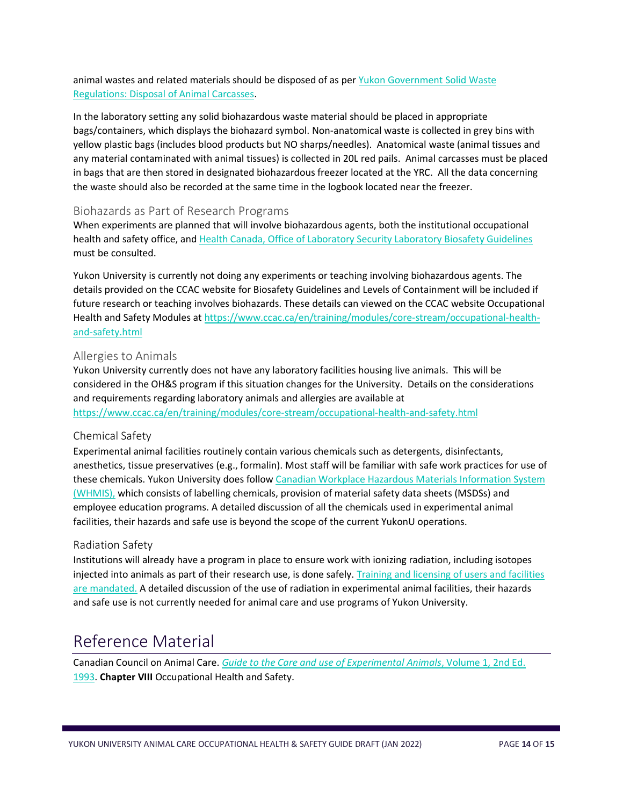#### animal wastes and related materials should be disposed of as per Yukon Government Solid Waste Regulations: [Disposal of Animal Carcasses.](https://yukon.ca/sites/yukon.ca/files/env/env-animal-carcass-disposal.pdf)

In the laboratory setting any solid biohazardous waste material should be placed in appropriate bags/containers, which displays the biohazard symbol. Non-anatomical waste is collected in grey bins with yellow plastic bags (includes blood products but NO sharps/needles). Anatomical waste (animal tissues and any material contaminated with animal tissues) is collected in 20L red pails. Animal carcasses must be placed in bags that are then stored in designated biohazardous freezer located at the YRC. All the data concerning the waste should also be recorded at the same time in the logbook located near the freezer.

#### <span id="page-14-0"></span>Biohazards as Part of Research Programs

When experiments are planned that will involve biohazardous agents, both the institutional occupational health and safety office, an[d Health Canada, Office of Laboratory Security Laboratory Biosafety Guidelines](http://www.phac-aspc.gc.ca/ols-bsl/index.html) must be consulted.

Yukon University is currently not doing any experiments or teaching involving biohazardous agents. The details provided on the CCAC website for Biosafety Guidelines and Levels of Containment will be included if future research or teaching involves biohazards. These details can viewed on the CCAC website Occupational Health and Safety Modules a[t https://www.ccac.ca/en/training/modules/core-stream/occupational-health](https://www.ccac.ca/en/training/modules/core-stream/occupational-health-and-safety.html)[and-safety.html](https://www.ccac.ca/en/training/modules/core-stream/occupational-health-and-safety.html)

#### <span id="page-14-1"></span>Allergies to Animals

Yukon University currently does not have any laboratory facilities housing live animals. This will be considered in the OH&S program if this situation changes for the University. Details on the considerations and requirements regarding laboratory animals and allergies are available at <https://www.ccac.ca/en/training/modules/core-stream/occupational-health-and-safety.html>

#### Chemical Safety

Experimental animal facilities routinely contain various chemicals such as detergents, disinfectants, anesthetics, tissue preservatives (e.g., formalin). Most staff will be familiar with safe work practices for use of these chemicals. Yukon University does follow [Canadian Workplace Hazardous Materials Information System](http://www.hc-sc.gc.ca/hecs-sesc/whmis/)  [\(WHMIS\),](http://www.hc-sc.gc.ca/hecs-sesc/whmis/) which consists of labelling chemicals, provision of material safety data sheets (MSDSs) and employee education programs. A detailed discussion of all the chemicals used in experimental animal facilities, their hazards and safe use is beyond the scope of the current YukonU operations.

#### Radiation Safety

Institutions will already have a program in place to ensure work with ionizing radiation, including isotopes injected into animals as part of their research use, is done safely. Training and licensing of users and facilities [are mandated.](http://www.nuclearsafety.gc.ca/) A detailed discussion of the use of radiation in experimental animal facilities, their hazards and safe use is not currently needed for animal care and use programs of Yukon University.

# <span id="page-14-2"></span>Reference Material

Canadian Council on Animal Care. *[Guide to the Care and use of Experimental Animals](https://www.ccac.ca/Documents/Standards/Guidelines/Experimental_Animals_Vol1.pdf)*, Volume 1, 2nd Ed. [1993.](https://www.ccac.ca/Documents/Standards/Guidelines/Experimental_Animals_Vol1.pdf) **Chapter VIII** Occupational Health and Safety.